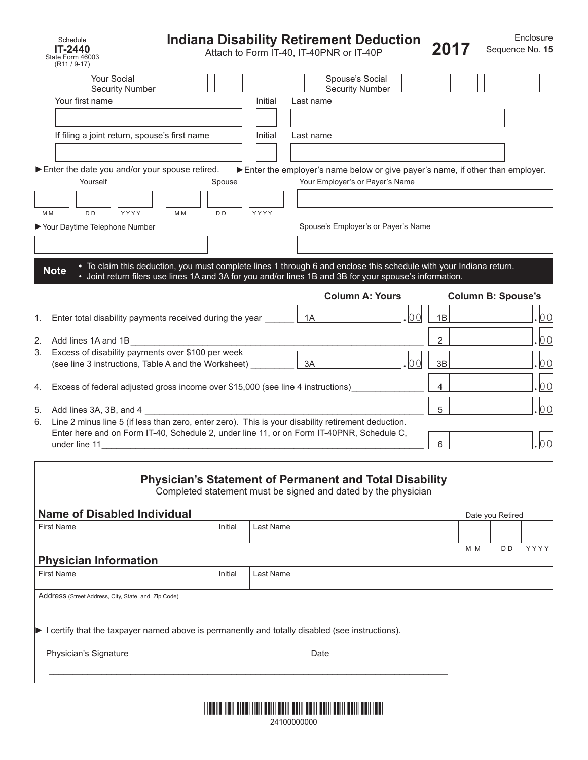| Schedule<br>IT-2440<br>State Form 46003                                                                    | <b>Indiana Disability Retirement Deduction</b>                                                                                                                                                                                |           |           | Attach to Form IT-40, IT-40PNR or IT-40P                                                                         |      | 2017           |                           | Enclosure<br>Sequence No. 15 |
|------------------------------------------------------------------------------------------------------------|-------------------------------------------------------------------------------------------------------------------------------------------------------------------------------------------------------------------------------|-----------|-----------|------------------------------------------------------------------------------------------------------------------|------|----------------|---------------------------|------------------------------|
| $(R11 / 9-17)$<br><b>Your Social</b><br><b>Security Number</b>                                             |                                                                                                                                                                                                                               |           |           | Spouse's Social<br><b>Security Number</b>                                                                        |      |                |                           |                              |
| Your first name                                                                                            |                                                                                                                                                                                                                               | Initial   | Last name |                                                                                                                  |      |                |                           |                              |
|                                                                                                            |                                                                                                                                                                                                                               |           |           |                                                                                                                  |      |                |                           |                              |
| If filing a joint return, spouse's first name                                                              |                                                                                                                                                                                                                               | Initial   | Last name |                                                                                                                  |      |                |                           |                              |
| Enter the date you and/or your spouse retired.<br>Yourself                                                 | Spouse                                                                                                                                                                                                                        |           |           | Enter the employer's name below or give payer's name, if other than employer.<br>Your Employer's or Payer's Name |      |                |                           |                              |
|                                                                                                            |                                                                                                                                                                                                                               |           |           |                                                                                                                  |      |                |                           |                              |
| D <sub>D</sub><br>YYYY<br>M M                                                                              | M <sub>M</sub><br>D <sub>D</sub>                                                                                                                                                                                              | YYYY      |           |                                                                                                                  |      |                |                           |                              |
| Your Daytime Telephone Number                                                                              |                                                                                                                                                                                                                               |           |           | Spouse's Employer's or Payer's Name                                                                              |      |                |                           |                              |
|                                                                                                            |                                                                                                                                                                                                                               |           |           |                                                                                                                  |      |                |                           |                              |
| <b>Note</b>                                                                                                | • To claim this deduction, you must complete lines 1 through 6 and enclose this schedule with your Indiana return.<br>• Joint return filers use lines 1A and 3A for you and/or lines 1B and 3B for your spouse's information. |           |           |                                                                                                                  |      |                |                           |                              |
|                                                                                                            |                                                                                                                                                                                                                               |           |           | <b>Column A: Yours</b>                                                                                           |      |                | <b>Column B: Spouse's</b> |                              |
| Enter total disability payments received during the year<br>1.                                             |                                                                                                                                                                                                                               |           | 1A        |                                                                                                                  | 00   | 1B             |                           | 00                           |
| Add lines 1A and 1B<br>2.                                                                                  |                                                                                                                                                                                                                               |           |           |                                                                                                                  |      | $\overline{2}$ |                           | 00                           |
| Excess of disability payments over \$100 per week<br>3.                                                    |                                                                                                                                                                                                                               |           |           |                                                                                                                  |      |                |                           |                              |
| (see line 3 instructions, Table A and the Worksheet)                                                       |                                                                                                                                                                                                                               |           | 3A        |                                                                                                                  | .100 | 3B             |                           | 00                           |
| Excess of federal adjusted gross income over \$15,000 (see line 4 instructions)<br>4.                      |                                                                                                                                                                                                                               |           |           |                                                                                                                  |      | 4              |                           | 00                           |
| Add lines 3A, 3B, and 4<br>5.                                                                              |                                                                                                                                                                                                                               |           |           |                                                                                                                  |      | 5              |                           | 00                           |
| Line 2 minus line 5 (if less than zero, enter zero). This is your disability retirement deduction.<br>6.   |                                                                                                                                                                                                                               |           |           |                                                                                                                  |      |                |                           |                              |
| Enter here and on Form IT-40, Schedule 2, under line 11, or on Form IT-40PNR, Schedule C,<br>under line 11 |                                                                                                                                                                                                                               |           |           |                                                                                                                  |      | 6              |                           | 00                           |
| <b>Name of Disabled Individual</b>                                                                         | <b>Physician's Statement of Permanent and Total Disability</b><br>Completed statement must be signed and dated by the physician                                                                                               |           |           |                                                                                                                  |      |                |                           |                              |
| <b>First Name</b>                                                                                          | Initial                                                                                                                                                                                                                       | Last Name |           |                                                                                                                  |      |                | Date you Retired          |                              |
|                                                                                                            |                                                                                                                                                                                                                               |           |           |                                                                                                                  |      |                | M M<br>D D                | YYYY                         |
| <b>Physician Information</b>                                                                               |                                                                                                                                                                                                                               |           |           |                                                                                                                  |      |                |                           |                              |
| <b>First Name</b>                                                                                          | Initial                                                                                                                                                                                                                       | Last Name |           |                                                                                                                  |      |                |                           |                              |
| Address (Street Address, City, State and Zip Code)                                                         |                                                                                                                                                                                                                               |           |           |                                                                                                                  |      |                |                           |                              |
|                                                                                                            |                                                                                                                                                                                                                               |           |           |                                                                                                                  |      |                |                           |                              |
| I certify that the taxpayer named above is permanently and totally disabled (see instructions).            |                                                                                                                                                                                                                               |           |           |                                                                                                                  |      |                |                           |                              |

Physician's Signature **Date** Date Date



 $\mathcal{L}_\mathcal{L} = \{ \mathcal{L}_\mathcal{L} = \{ \mathcal{L}_\mathcal{L} = \{ \mathcal{L}_\mathcal{L} = \{ \mathcal{L}_\mathcal{L} = \{ \mathcal{L}_\mathcal{L} = \{ \mathcal{L}_\mathcal{L} = \{ \mathcal{L}_\mathcal{L} = \{ \mathcal{L}_\mathcal{L} = \{ \mathcal{L}_\mathcal{L} = \{ \mathcal{L}_\mathcal{L} = \{ \mathcal{L}_\mathcal{L} = \{ \mathcal{L}_\mathcal{L} = \{ \mathcal{L}_\mathcal{L} = \{ \mathcal{L}_\mathcal{$